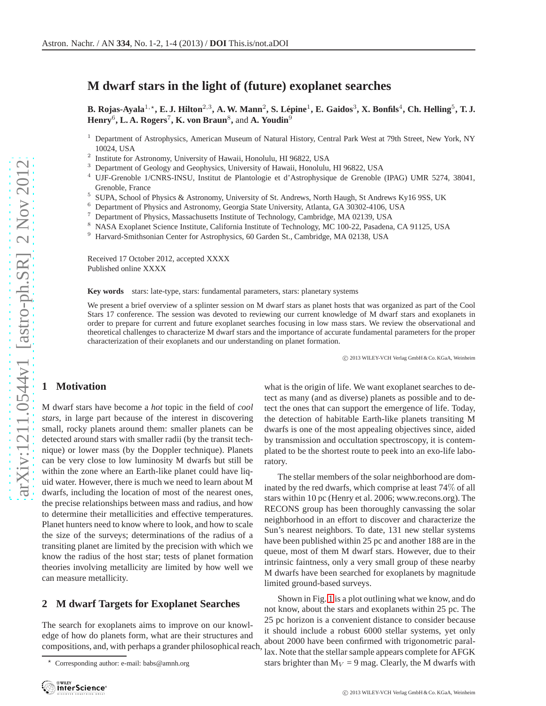# **M dwarf stars in the light of (future) exoplanet searches**

**B. R**ojas-Ayala<sup>1,</sup>\*, **E. J. H**ilton<sup>2,3</sup>, A. W. Mann<sup>2</sup>, S. Lépine<sup>1</sup>, **E.** Gaidos<sup>3</sup>, X. Bonfils<sup>4</sup>, Ch. Helling<sup>5</sup>, T. J.  $\mathbf{Henry}^6, \mathbf{L. A. Rogers}^7, \mathbf{K. von Braun}^8, \text{and } \mathbf{A. Youdin}^9$ 

- 2 Institute for Astronomy, University of Hawaii, Honolulu, HI 96822, USA
- <sup>3</sup> Department of Geology and Geophysics, University of Hawaii, Honolulu, HI 96822, USA
- <sup>4</sup> UJF-Grenoble 1/CNRS-INSU, Institut de Plantologie et d'Astrophysique de Grenoble (IPAG) UMR 5274, 38041, Grenoble, France
- 5 SUPA, School of Physics & Astronomy, University of St. Andrews, North Haugh, St Andrews Ky16 9SS, UK
- <sup>6</sup> Department of Physics and Astronomy, Georgia State University, Atlanta, GA 30302-4106, USA
- <sup>7</sup> Department of Physics, Massachusetts Institute of Technology, Cambridge, MA 02139, USA
- <sup>8</sup> NASA Exoplanet Science Institute, California Institute of Technology, MC 100-22, Pasadena, CA 91125, USA
- <sup>9</sup> Harvard-Smithsonian Center for Astrophysics, 60 Garden St., Cambridge, MA 02138, USA

Received 17 October 2012, accepted XXXX Published online XXXX

**Key words** stars: late-type, stars: fundamental parameters, stars: planetary systems

We present a brief overview of a splinter session on M dwarf stars as planet hosts that was organized as part of the Cool Stars 17 conference. The session was devoted to reviewing our current knowledge of M dwarf stars and exoplanets in order to prepare for current and future exoplanet searches focusing in low mass stars. We review the observational and theoretical challenges to characterize M dwarf stars and the importance of accurate fundamental parameters for the proper characterization of their exoplanets and our understanding on planet formation.

c 2013 WILEY-VCH Verlag GmbH & Co. KGaA, Weinheim

## **1 Motivation**

M dwarf stars have become a *hot* topic in the field of *cool stars*, in large part because of the interest in discovering small, rocky planets around them: smaller planets can be detected around stars with smaller radii (by the transit technique) or lower mass (by the Doppler technique). Planets can be very close to low luminosity M dwarfs but still be within the zone where an Earth-like planet could have liquid water. However, there is much we need to learn about M dwarfs, including the location of most of the nearest ones, the precise relationships between mass and radius, and how to determine their metallicities and effective temperatures. Planet hunters need to know where to look, and how to scale the size of the surveys; determinations of the radius of a transiting planet are limited by the precision with which we know the radius of the host star; tests of planet formation theories involving metallicity are limited by how well we can measure metallicity.

## **2 M dwarf Targets for Exoplanet Searches**

The search for exoplanets aims to improve on our knowledge of how do planets form, what are their structures and compositions, and, with perhaps a grander philosophical reach,

what is the origin of life. We want exoplanet searches to detect as many (and as diverse) planets as possible and to detect the ones that can support the emergence of life. Today, the detection of habitable Earth-like planets transiting M dwarfs is one of the most appealing objectives since, aided by transmission and occultation spectroscopy, it is contemplated to be the shortest route to peek into an exo-life laboratory.

The stellar members of the solar neighborhood are dominated by the red dwarfs, which comprise at least 74% of all stars within 10 pc (Henry et al. 2006; www.recons.org). The RECONS group has been thoroughly canvassing the solar neighborhood in an effort to discover and characterize the Sun's nearest neighbors. To date, 131 new stellar systems have been published within 25 pc and another 188 are in the queue, most of them M dwarf stars. However, due to their intrinsic faintness, only a very small group of these nearby M dwarfs have been searched for exoplanets by magnitude limited ground-based surveys.

Shown in Fig. [1](#page-1-0) is a plot outlining what we know, and do not know, about the stars and exoplanets within 25 pc. The 25 pc horizon is a convenient distance to consider because it should include a robust 6000 stellar systems, yet only about 2000 have been confirmed with trigonometric parallax. Note that the stellar sample appears complete for AFGK stars brighter than  $M_V = 9$  mag. Clearly, the M dwarfs with

<sup>&</sup>lt;sup>1</sup> Department of Astrophysics, American Museum of Natural History, Central Park West at 79th Street, New York, NY 10024, USA

Corresponding author: e-mail: babs@amnh.org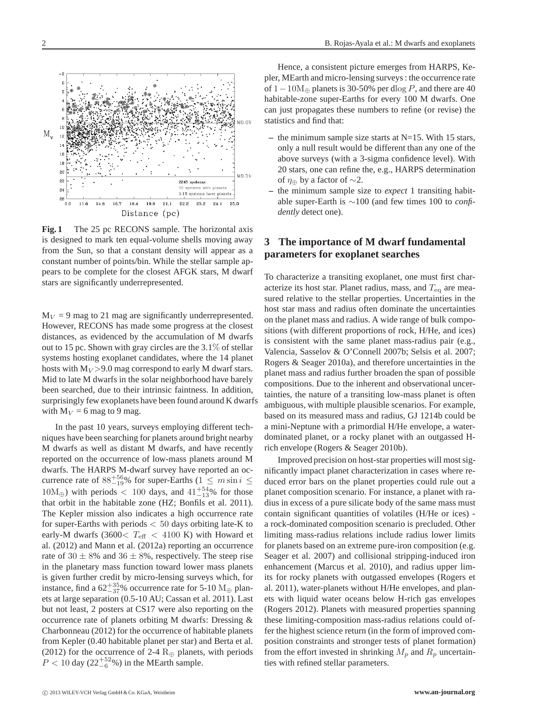

<span id="page-1-0"></span>**Fig. 1** The 25 pc RECONS sample. The horizontal axis is designed to mark ten equal-volume shells moving away from the Sun, so that a constant density will appear as a constant number of points/bin. While the stellar sample appears to be complete for the closest AFGK stars, M dwarf stars are significantly underrepresented.

 $M_V = 9$  mag to 21 mag are significantly underrepresented. However, RECONS has made some progress at the closest distances, as evidenced by the accumulation of M dwarfs out to 15 pc. Shown with gray circles are the 3.1% of stellar systems hosting exoplanet candidates, where the 14 planet hosts with  $M_V > 9.0$  mag correspond to early M dwarf stars. Mid to late M dwarfs in the solar neighborhood have barely been searched, due to their intrinsic faintness. In addition, surprisingly few exoplanets have been found around K dwarfs with  $M_V = 6$  mag to 9 mag.

In the past 10 years, surveys employing different techniques have been searching for planets around bright nearby M dwarfs as well as distant M dwarfs, and have recently reported on the occurrence of low-mass planets around M dwarfs. The HARPS M-dwarf survey have reported an occurrence rate of  $88^{+56}_{-19}$ % for super-Earths (1  $\leq$  m sin  $i \leq$  $10M_{\oplus}$ ) with periods < 100 days, and  $41^{+54}_{-13}$ % for those that orbit in the habitable zone (HZ; Bonfils et al. 2011). The Kepler mission also indicates a high occurrence rate for super-Earths with periods < 50 days orbiting late-K to early-M dwarfs (3600<  $T_{\text{eff}}$  < 4100 K) with Howard et al. (2012) and Mann et al. (2012a) reporting an occurrence rate of  $30 \pm 8\%$  and  $36 \pm 8\%$ , respectively. The steep rise in the planetary mass function toward lower mass planets is given further credit by micro-lensing surveys which, for instance, find a  $62^{+35}_{-37}$ % occurrence rate for 5-10 M<sub>⊕</sub> planets at large separation (0.5-10 AU; Cassan et al. 2011). Last but not least, 2 posters at CS17 were also reporting on the occurrence rate of planets orbiting M dwarfs: Dressing & Charbonneau (2012) for the occurrence of habitable planets from Kepler (0.40 habitable planet per star) and Berta et al. (2012) for the occurrence of 2-4  $R_{\oplus}$  planets, with periods  $P < 10$  day (22<sup>+52</sup>%) in the MEarth sample.

Hence, a consistent picture emerges from HARPS, Kepler, MEarth and micro-lensing surveys : the occurrence rate of  $1-10M_{\oplus}$  planets is 30-50% per dlog P, and there are 40 habitable-zone super-Earths for every 100 M dwarfs. One can just propagates these numbers to refine (or revise) the statistics and find that:

- **–** the minimum sample size starts at N=15. With 15 stars, only a null result would be different than any one of the above surveys (with a 3-sigma confidence level). With 20 stars, one can refine the, e.g., HARPS determination of  $η_{⊕}$  by a factor of ∼2.
- **–** the minimum sample size to *expect* 1 transiting habitable super-Earth is ∼100 (and few times 100 to *confidently* detect one).

## **3 The importance of M dwarf fundamental parameters for exoplanet searches**

To characterize a transiting exoplanet, one must first characterize its host star. Planet radius, mass, and  $T_{\text{eq}}$  are measured relative to the stellar properties. Uncertainties in the host star mass and radius often dominate the uncertainties on the planet mass and radius. A wide range of bulk compositions (with different proportions of rock, H/He, and ices) is consistent with the same planet mass-radius pair (e.g., Valencia, Sasselov & O'Connell 2007b; Selsis et al. 2007; Rogers & Seager 2010a), and therefore uncertainties in the planet mass and radius further broaden the span of possible compositions. Due to the inherent and observational uncertainties, the nature of a transiting low-mass planet is often ambiguous, with multiple plausible scenarios. For example, based on its measured mass and radius, GJ 1214b could be a mini-Neptune with a primordial H/He envelope, a waterdominated planet, or a rocky planet with an outgassed Hrich envelope (Rogers & Seager 2010b).

Improved precision on host-star properties will most significantly impact planet characterization in cases where reduced error bars on the planet properties could rule out a planet composition scenario. For instance, a planet with radius in excess of a pure silicate body of the same mass must contain significant quantities of volatiles (H/He or ices) a rock-dominated composition scenario is precluded. Other limiting mass-radius relations include radius lower limits for planets based on an extreme pure-iron composition (e.g. Seager et al. 2007) and collisional stripping-induced iron enhancement (Marcus et al. 2010), and radius upper limits for rocky planets with outgassed envelopes (Rogers et al. 2011), water-planets without H/He envelopes, and planets with liquid water oceans below H-rich gas envelopes (Rogers 2012). Planets with measured properties spanning these limiting-composition mass-radius relations could offer the highest science return (in the form of improved composition constraints and stronger tests of planet formation) from the effort invested in shrinking  $M_p$  and  $R_p$  uncertainties with refined stellar parameters.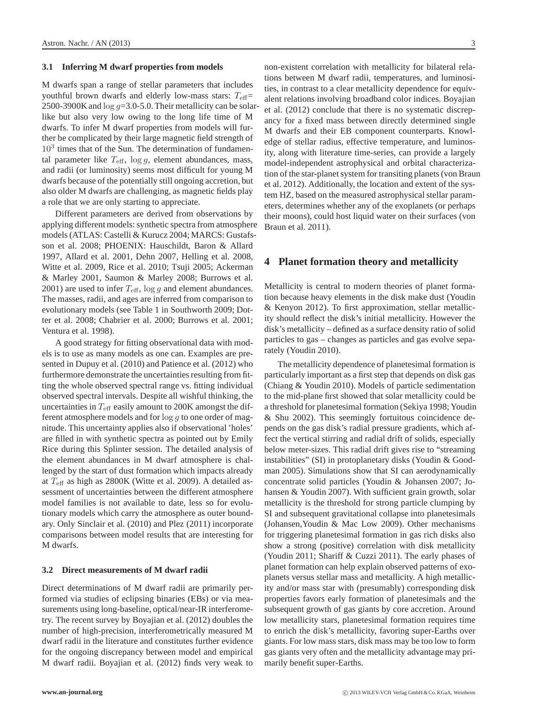#### **3.1 Inferring M dwarf properties from models**

M dwarfs span a range of stellar parameters that includes youthful brown dwarfs and elderly low-mass stars:  $T_{\text{eff}}$ = 2500-3900K and  $\log g$ =3.0-5.0. Their metallicity can be solarlike but also very low owing to the long life time of M dwarfs. To infer M dwarf properties from models will further be complicated by their large magnetic field strength of  $10<sup>3</sup>$  times that of the Sun. The determination of fundamental parameter like  $T_{\text{eff}}$ ,  $\log g$ , element abundances, mass, and radii (or luminosity) seems most difficult for young M dwarfs because of the potentially still ongoing accretion, but also older M dwarfs are challenging, as magnetic fields play a role that we are only starting to appreciate.

Different parameters are derived from observations by applying different models: synthetic spectra from atmosphere models (ATLAS: Castelli & Kurucz 2004; MARCS: Gustafsson et al. 2008; PHOENIX: Hauschildt, Baron & Allard 1997, Allard et al. 2001, Dehn 2007, Helling et al. 2008, Witte et al. 2009, Rice et al. 2010; Tsuji 2005; Ackerman & Marley 2001, Saumon & Marley 2008; Burrows et al. 2001) are used to infer  $T_{\text{eff}}$ ,  $\log g$  and element abundances. The masses, radii, and ages are inferred from comparison to evolutionary models (see Table 1 in Southworth 2009; Dotter et al. 2008; Chabrier et al. 2000; Burrows et al. 2001; Ventura et al. 1998).

A good strategy for fitting observational data with models is to use as many models as one can. Examples are presented in Dupuy et al. (2010) and Patience et al. (2012) who furthermore demonstrate the uncertainties resulting from fitting the whole observed spectral range vs. fitting individual observed spectral intervals. Despite all wishful thinking, the uncertainties in  $T_{\text{eff}}$  easily amount to 200K amongst the different atmosphere models and for  $\log q$  to one order of magnitude. This uncertainty applies also if observational 'holes' are filled in with synthetic spectra as pointed out by Emily Rice during this Splinter session. The detailed analysis of the element abundances in M dwarf atmosphere is challenged by the start of dust formation which impacts already at  $T_{\text{eff}}$  as high as 2800K (Witte et al. 2009). A detailed assessment of uncertainties between the different atmosphere model families is not available to date, less so for evolutionary models which carry the atmosphere as outer boundary. Only Sinclair et al. (2010) and Plez (2011) incorporate comparisons between model results that are interesting for M dwarfs.

#### **3.2 Direct measurements of M dwarf radii**

Direct determinations of M dwarf radii are primarily performed via studies of eclipsing binaries (EBs) or via measurements using long-baseline, optical/near-IR interferometry. The recent survey by Boyajian et al. (2012) doubles the number of high-precision, interferometrically measured M dwarf radii in the literature and constitutes further evidence for the ongoing discrepancy between model and empirical M dwarf radii. Boyajian et al. (2012) finds very weak to

non-existent correlation with metallicity for bilateral relations between M dwarf radii, temperatures, and luminosities, in contrast to a clear metallicity dependence for equivalent relations involving broadband color indices. Boyajian et al. (2012) conclude that there is no systematic discrepancy for a fixed mass between directly determined single M dwarfs and their EB component counterparts. Knowledge of stellar radius, effective temperature, and luminosity, along with literature time-series, can provide a largely model-independent astrophysical and orbital characterization of the star-planet system for transiting planets (von Braun et al. 2012). Additionally, the location and extent of the system HZ, based on the measured astrophysical stellar parameters, determines whether any of the exoplanets (or perhaps their moons), could host liquid water on their surfaces (von Braun et al. 2011).

### **4 Planet formation theory and metallicity**

Metallicity is central to modern theories of planet formation because heavy elements in the disk make dust (Youdin & Kenyon 2012). To first approximation, stellar metallicity should reflect the disk's initial metallicity. However the disk's metallicity – defined as a surface density ratio of solid particles to gas – changes as particles and gas evolve separately (Youdin 2010).

The metallicity dependence of planetesimal formation is particularly important as a first step that depends on disk gas (Chiang & Youdin 2010). Models of particle sedimentation to the mid-plane first showed that solar metallicity could be a threshold for planetesimal formation (Sekiya 1998; Youdin & Shu 2002). This seemingly fortuitous coincidence depends on the gas disk's radial pressure gradients, which affect the vertical stirring and radial drift of solids, especially below meter-sizes. This radial drift gives rise to "streaming instabilities" (SI) in protoplanetary disks (Youdin & Goodman 2005). Simulations show that SI can aerodynamically concentrate solid particles (Youdin & Johansen 2007; Johansen & Youdin 2007). With sufficient grain growth, solar metallicity is the threshold for strong particle clumping by SI and subsequent gravitational collapse into planetesimals (Johansen,Youdin & Mac Low 2009). Other mechanisms for triggering planetesimal formation in gas rich disks also show a strong (positive) correlation with disk metallicity (Youdin 2011; Shariff & Cuzzi 2011). The early phases of planet formation can help explain observed patterns of exoplanets versus stellar mass and metallicity. A high metallicity and/or mass star with (presumably) corresponding disk properties favors early formation of planetesimals and the subsequent growth of gas giants by core accretion. Around low metallicity stars, planetesimal formation requires time to enrich the disk's metallicity, favoring super-Earths over giants. For low mass stars, disk mass may be too low to form gas giants very often and the metallicity advantage may primarily benefit super-Earths.